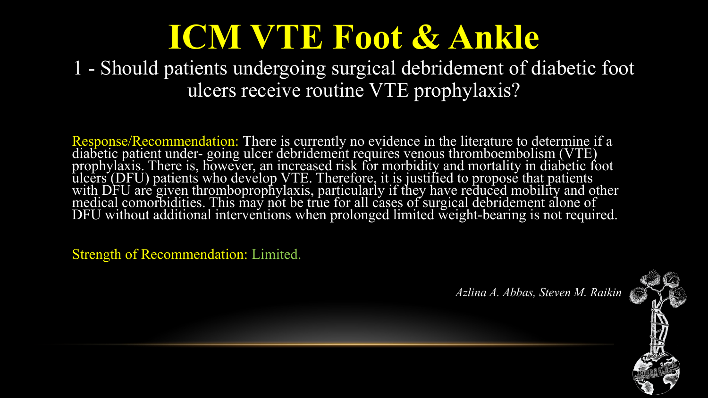1 - Should patients undergoing surgical debridement of diabetic foot ulcers receive routine VTE prophylaxis?

Response/Recommendation: There is currently no evidence in the literature to determine if a diabetic patient under- going ulcer debridement requires venous thromboembolism (VTE) prophylaxis. There is, however, an increased risk for morbidity and mortality in diabetic foot ulcers (DFU) patients who develop VTE. Therefore, it is justified to propose that patients with DFU are given thromboprophylaxis, particularly if they have reduced mobility and other medical comorbidities. This may not be true for all cases of surgical debridement alone of DFU without additional interventions when prolonged limited weight-bearing is not required.

Strength of Recommendation: Limited.

*Azlina A. Abbas, Steven M. Raikin*

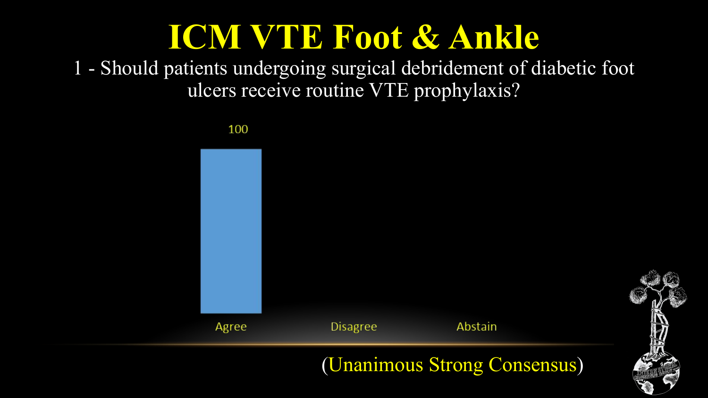1 - Should patients undergoing surgical debridement of diabetic foot ulcers receive routine VTE prophylaxis?

100



(Unanimous Strong Consensus)

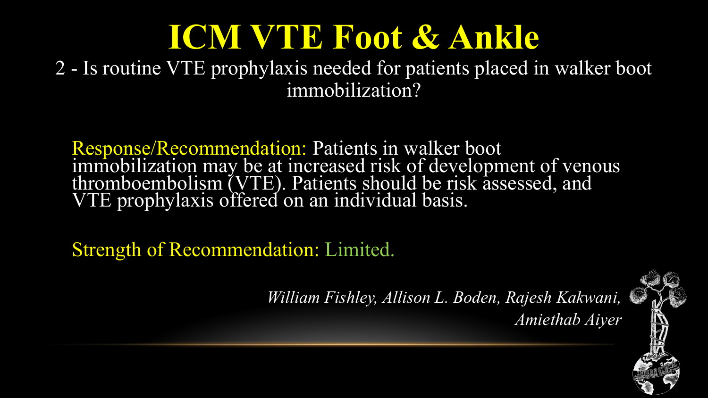2 - Is routine VTE prophylaxis needed for patients placed in walker boot immobilization?

Response/Recommendation: Patients in walker boot immobilization may be at increased risk of development of venous thromboembolism (VTE). Patients should be risk assessed, and VTE prophylaxis offered on an individual basis.

Strength of Recommendation: Limited.

*William Fishley, Allison L. Boden, Rajesh Kakwani, Amiethab Aiyer*

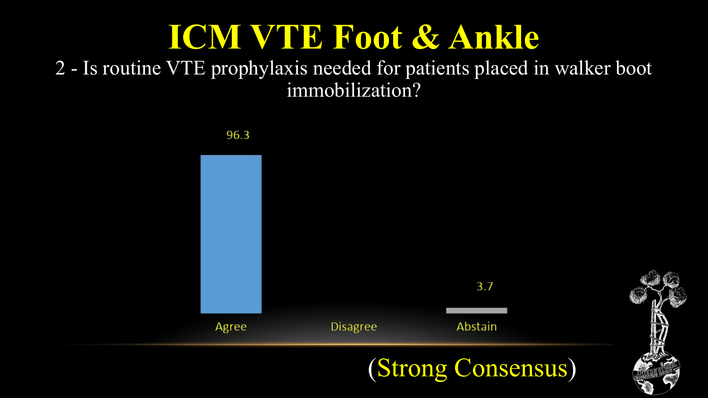2 - Is routine VTE prophylaxis needed for patients placed in walker boot immobilization?

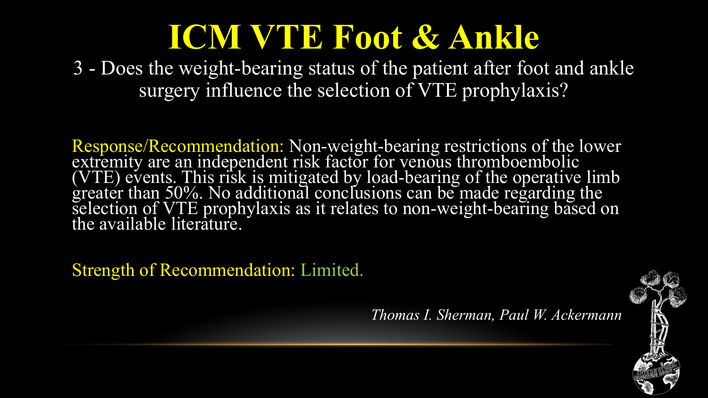3 - Does the weight-bearing status of the patient after foot and ankle surgery influence the selection of VTE prophylaxis?

Response/Recommendation: Non-weight-bearing restrictions of the lower extremity are an independent risk factor for venous thromboembolic (VTE) events. This risk is mitigated by load-bearing of the operative limb greater than 50%. No additional conclusions can be made regarding the selection of VTE prophylaxis as it relates to non-weight-bearing based on the available literature.

Strength of Recommendation: Limited.

*Thomas I. Sherman, Paul W. Ackermann*

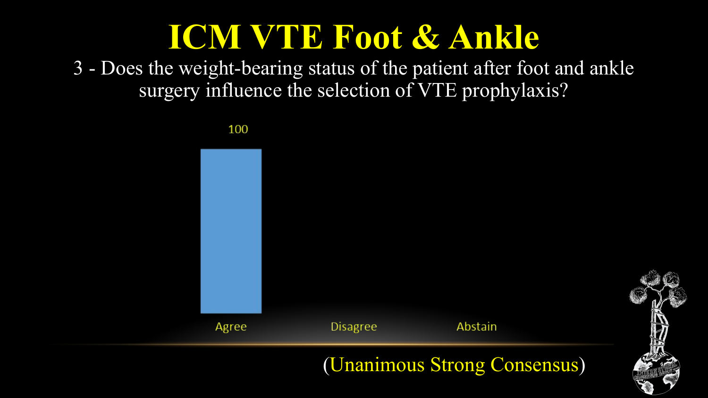3 - Does the weight-bearing status of the patient after foot and ankle surgery influence the selection of VTE prophylaxis?



(Unanimous Strong Consensus)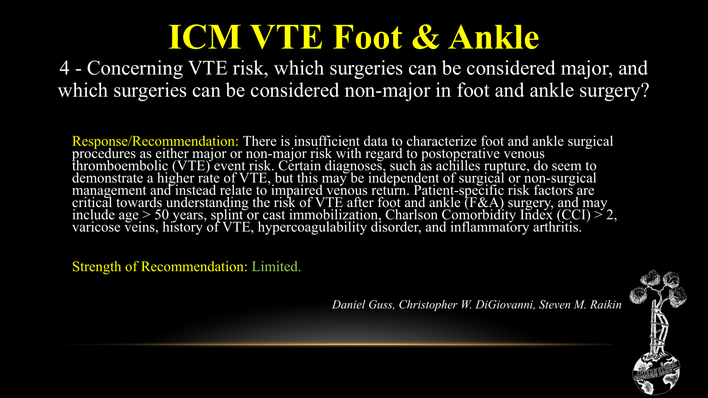4 - Concerning VTE risk, which surgeries can be considered major, and which surgeries can be considered non-major in foot and ankle surgery?

Response/Recommendation: There is insufficient data to characterize foot and ankle surgical procedures as either major or non-major risk with regard to postoperative venous thromboembolic (VTE) event risk. Certain diagnoses, such as achilles rupture, do seem to demonstrate a higher rate of VTE, but this may be independent of surgical or non-surgical management and instead relate to impaired venous return. Patient-specific risk factors are critical towards understanding the risk of VTE after foot and ankle (F&A) surgery, and may include age  $> 50$  years, splint or cast immobilization, Charlson Comorbidity Index (CCI)  $> 2$ , varicose veins, history of VTE, hypercoagulability disorder, and inflammatory arthritis.

Strength of Recommendation: Limited.

*Daniel Guss, Christopher W. DiGiovanni, Steven M. Raikin*

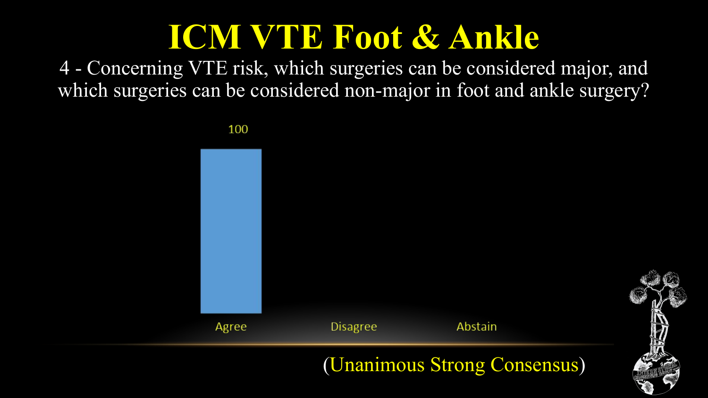4 - Concerning VTE risk, which surgeries can be considered major, and which surgeries can be considered non-major in foot and ankle surgery?

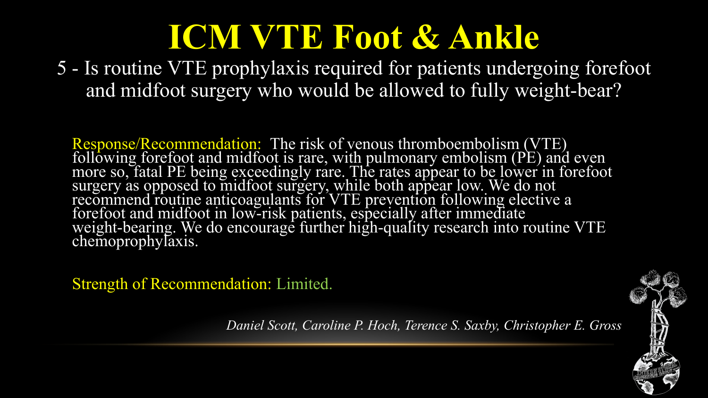5 - Is routine VTE prophylaxis required for patients undergoing forefoot and midfoot surgery who would be allowed to fully weight-bear?

Response/Recommendation: The risk of venous thromboembolism (VTE) following forefoot and midfoot is rare, with pulmonary embolism (PE) and even more so, fatal PE being exceedingly rare. The rates appear to be lower in forefoot surgery as opposed to midfoot surgery, while both appear low. We do not recommend routine anticoagulants for VTE prevention following elective a forefoot and midfoot in low-risk patients, especially after immediate weight-bearing. We do encourage further high-quality research into routine VTE chemoprophylaxis.

Strength of Recommendation: Limited.

*Daniel Scott, Caroline P. Hoch, Terence S. Saxby, Christopher E. Gross*

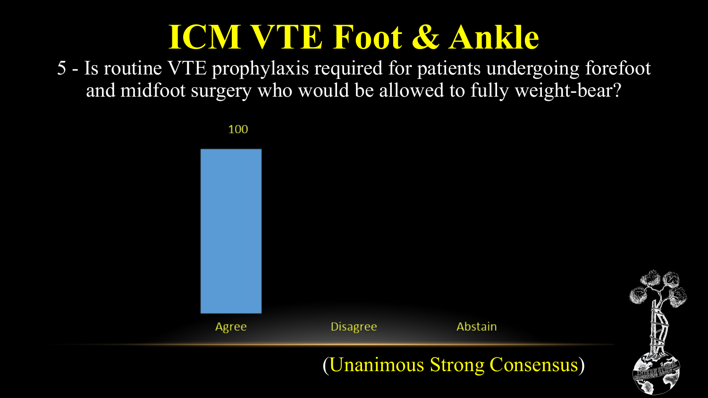5 - Is routine VTE prophylaxis required for patients undergoing forefoot and midfoot surgery who would be allowed to fully weight-bear?

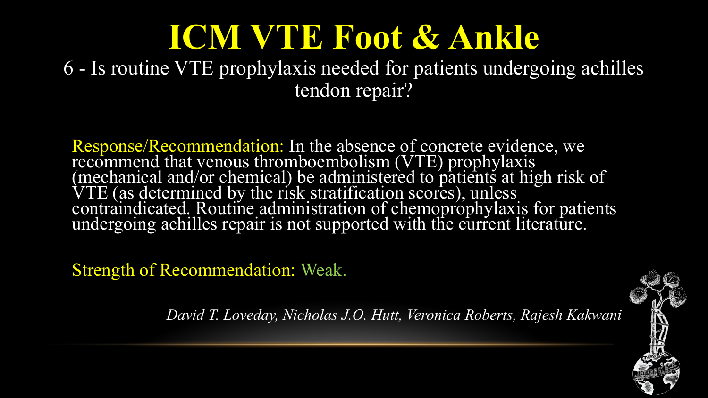6 - Is routine VTE prophylaxis needed for patients undergoing achilles tendon repair?

Response/Recommendation: In the absence of concrete evidence, we recommend that venous thromboembolism (VTE) prophylaxis (mechanical and/or chemical) be administered to patients at high risk of VTE (as determined by the risk stratification scores), unless contraindicated. Routine administration of chemoprophylaxis for patients undergoing achilles repair is not supported with the current literature.

Strength of Recommendation: Weak.

*David T. Loveday, Nicholas J.O. Hutt, Veronica Roberts, Rajesh Kakwani*

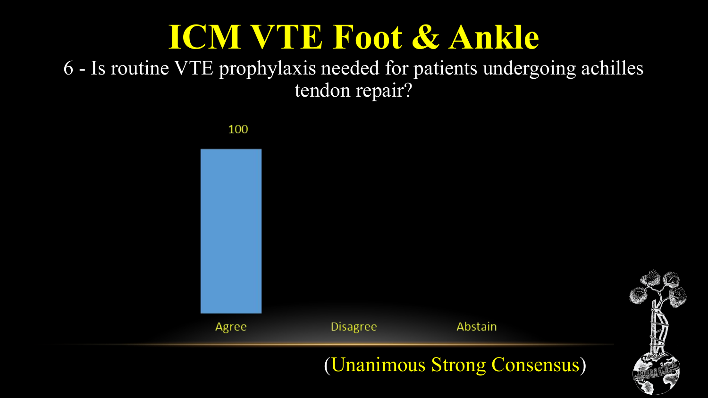6 - Is routine VTE prophylaxis needed for patients undergoing achilles tendon repair?

100



(Unanimous Strong Consensus)

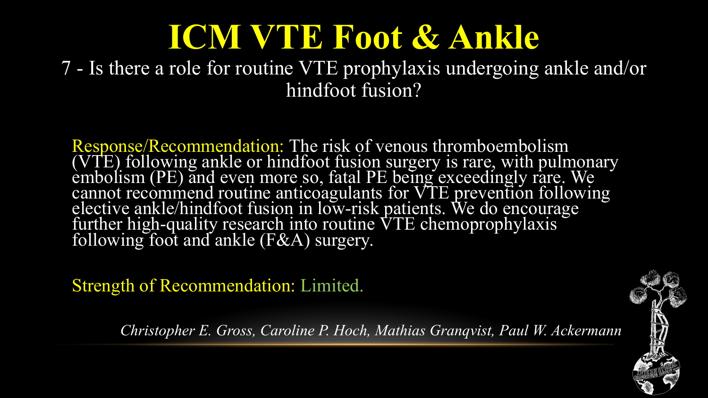7 - Is there a role for routine VTE prophylaxis undergoing ankle and/or hindfoot fusion?

Response/Recommendation: The risk of venous thromboembolism (VTE) following ankle or hindfoot fusion surgery is rare, with pulmonary embolism (PE) and even more so, fatal PE being exceedingly rare. We cannot recommend routine anticoagulants for VTE prevention following elective ankle/hindfoot fusion in low-risk patients. We do encourage further high-quality research into routine VTE chemoprophylaxis following foot and ankle (F&A) surgery.

Strength of Recommendation: Limited.

*Christopher E. Gross, Caroline P. Hoch, Mathias Granqvist, Paul W. Ackermann*

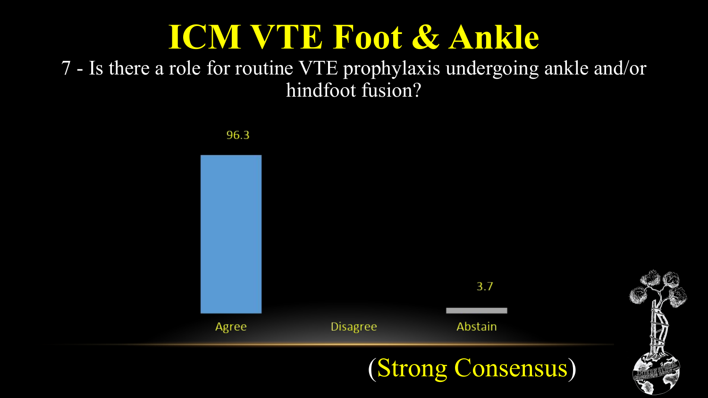7 - Is there a role for routine VTE prophylaxis undergoing ankle and/or hindfoot fusion?

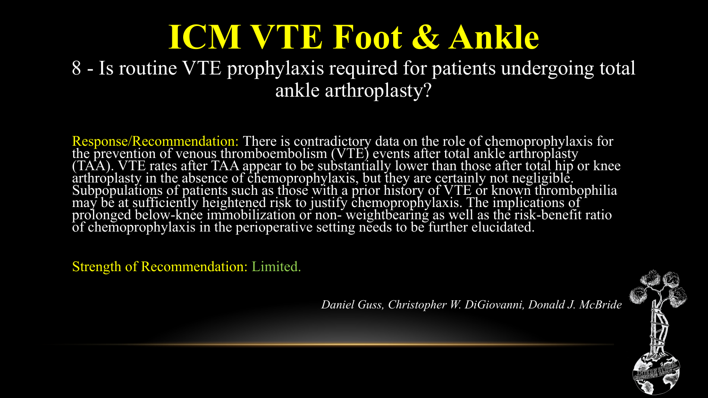#### 8 - Is routine VTE prophylaxis required for patients undergoing total ankle arthroplasty?

Response/Recommendation: There is contradictory data on the role of chemoprophylaxis for the prevention of venous thromboembolism (VTE) events after total ankle arthroplasty (TAA). VTE rates after TAA appear to be substantially lower than those after total hip or knee arthroplasty in the absence of chemoprophylaxis, but they are certainly not negligible. Subpopulations of patients such as those with a prior history of VTE or known thrombophilia may be at sufficiently heightened risk to justify chemoprophylaxis. The implications of prolonged below-knee immobilization or non- weightbearing as well as the risk-benefit ratio of chemoprophylaxis in the perioperative setting needs to be further elucidated.

Strength of Recommendation: Limited.

*Daniel Guss, Christopher W. DiGiovanni, Donald J. McBride*